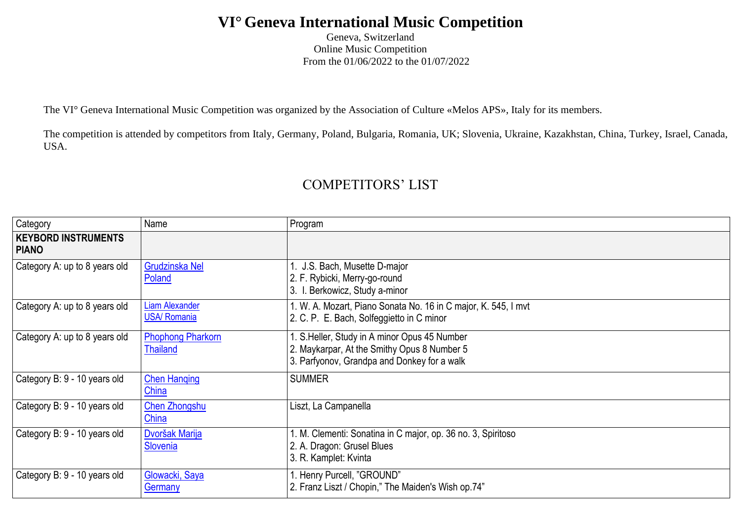## **VI° Geneva International Music Competition**

Geneva, Switzerland Online Music Competition From the 01/06/2022 to the 01/07/2022

The VI° Geneva International Music Competition was organized by the Association of Culture «Melos APS», Italy for its members.

The competition is attended by competitors from Italy, Germany, Poland, Bulgaria, Romania, UK; Slovenia, Ukraine, Kazakhstan, China, Turkey, Israel, Canada, USA.

## COMPETITORS' LIST

| Category                                   | Name                                         | Program                                                                                                                                   |
|--------------------------------------------|----------------------------------------------|-------------------------------------------------------------------------------------------------------------------------------------------|
| <b>KEYBORD INSTRUMENTS</b><br><b>PIANO</b> |                                              |                                                                                                                                           |
| Category A: up to 8 years old              | <b>Grudzinska Nel</b><br>Poland              | J.S. Bach, Musette D-major<br>2. F. Rybicki, Merry-go-round<br>3. I. Berkowicz, Study a-minor                                             |
| Category A: up to 8 years old              | <b>Liam Alexander</b><br><b>USA/ Romania</b> | 1. W. A. Mozart, Piano Sonata No. 16 in C major, K. 545, I mvt<br>2. C. P. E. Bach, Solfeggietto in C minor                               |
| Category A: up to 8 years old              | <b>Phophong Pharkorn</b><br><b>Thailand</b>  | . S.Heller, Study in A minor Opus 45 Number<br>2. Maykarpar, At the Smithy Opus 8 Number 5<br>3. Parfyonov, Grandpa and Donkey for a walk |
| Category B: 9 - 10 years old               | <b>Chen Hanging</b><br>China                 | <b>SUMMER</b>                                                                                                                             |
| Category B: 9 - 10 years old               | <b>Chen Zhongshu</b><br>China                | Liszt, La Campanella                                                                                                                      |
| Category B: 9 - 10 years old               | Dvoršak Marija<br>Slovenia                   | 1. M. Clementi: Sonatina in C major, op. 36 no. 3, Spiritoso<br>2. A. Dragon: Grusel Blues<br>3. R. Kamplet: Kvinta                       |
| Category B: 9 - 10 years old               | Glowacki, Saya<br>Germany                    | 1. Henry Purcell, "GROUND"<br>2. Franz Liszt / Chopin," The Maiden's Wish op.74"                                                          |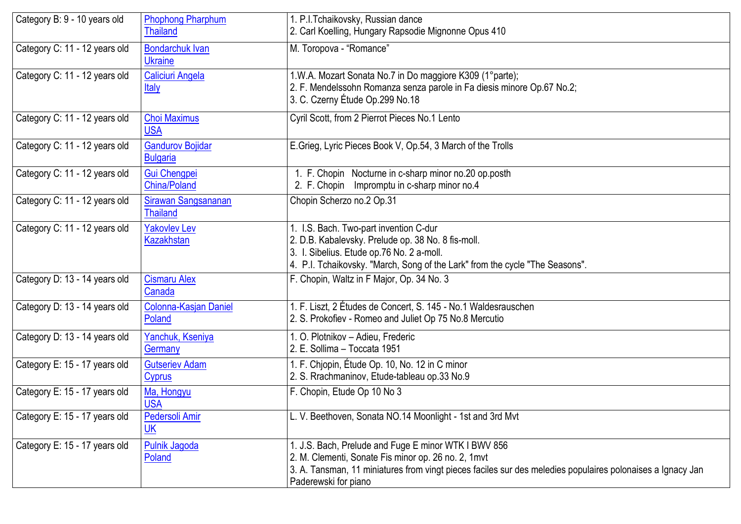| Category B: 9 - 10 years old  | <b>Phophong Pharphum</b><br><b>Thailand</b> | 1. P.I. Tchaikovsky, Russian dance<br>2. Carl Koelling, Hungary Rapsodie Mignonne Opus 410                                                                                                                                                        |
|-------------------------------|---------------------------------------------|---------------------------------------------------------------------------------------------------------------------------------------------------------------------------------------------------------------------------------------------------|
| Category C: 11 - 12 years old | <b>Bondarchuk Ivan</b><br><b>Ukraine</b>    | M. Toropova - "Romance"                                                                                                                                                                                                                           |
| Category C: 11 - 12 years old | <b>Caliciuri Angela</b><br><b>Italy</b>     | 1.W.A. Mozart Sonata No.7 in Do maggiore K309 (1° parte);<br>2. F. Mendelssohn Romanza senza parole in Fa diesis minore Op.67 No.2;<br>3. C. Czerny Étude Op.299 No.18                                                                            |
| Category C: 11 - 12 years old | <b>Choi Maximus</b><br><b>USA</b>           | Cyril Scott, from 2 Pierrot Pieces No.1 Lento                                                                                                                                                                                                     |
| Category C: 11 - 12 years old | <b>Gandurov Bojidar</b><br><b>Bulgaria</b>  | E.Grieg, Lyric Pieces Book V, Op.54, 3 March of the Trolls                                                                                                                                                                                        |
| Category C: 11 - 12 years old | <b>Gui Chengpei</b><br><b>China/Poland</b>  | 1. F. Chopin Nocturne in c-sharp minor no.20 op.posth<br>2. F. Chopin Impromptu in c-sharp minor no.4                                                                                                                                             |
| Category C: 11 - 12 years old | Sirawan Sangsananan<br><b>Thailand</b>      | Chopin Scherzo no.2 Op.31                                                                                                                                                                                                                         |
| Category C: 11 - 12 years old | <b>Yakovlev Lev</b><br><b>Kazakhstan</b>    | 1. I.S. Bach. Two-part invention C-dur<br>2. D.B. Kabalevsky. Prelude op. 38 No. 8 fis-moll.<br>3. I. Sibelius. Etude op.76 No. 2 a-moll.<br>4. P.I. Tchaikovsky. "March, Song of the Lark" from the cycle "The Seasons".                         |
| Category D: 13 - 14 years old | <b>Cismaru Alex</b><br>Canada               | F. Chopin, Waltz in F Major, Op. 34 No. 3                                                                                                                                                                                                         |
| Category D: 13 - 14 years old | Colonna-Kasjan Daniel<br>Poland             | 1. F. Liszt, 2 Études de Concert, S. 145 - No.1 Waldesrauschen<br>2. S. Prokofiev - Romeo and Juliet Op 75 No.8 Mercutio                                                                                                                          |
| Category D: 13 - 14 years old | Yanchuk, Kseniya<br>Germany                 | 1. O. Plotnikov - Adieu, Frederic<br>2. E. Sollima - Toccata 1951                                                                                                                                                                                 |
| Category E: 15 - 17 years old | <b>Gutseriev Adam</b><br><b>Cyprus</b>      | 1. F. Chjopin, Étude Op. 10, No. 12 in C minor<br>2. S. Rrachmaninov, Etude-tableau op.33 No.9                                                                                                                                                    |
| Category E: 15 - 17 years old | Ma, Hongyu<br><b>USA</b>                    | F. Chopin, Etude Op 10 No 3                                                                                                                                                                                                                       |
| Category E: 15 - 17 years old | Pedersoli Amir<br><u>UK</u>                 | L. V. Beethoven, Sonata NO.14 Moonlight - 1st and 3rd Mvt                                                                                                                                                                                         |
| Category E: 15 - 17 years old | <b>Pulnik Jagoda</b><br>Poland              | 1. J.S. Bach, Prelude and Fuge E minor WTK I BWV 856<br>2. M. Clementi, Sonate Fis minor op. 26 no. 2, 1mvt<br>3. A. Tansman, 11 miniatures from vingt pieces faciles sur des meledies populaires polonaises a Ignacy Jan<br>Paderewski for piano |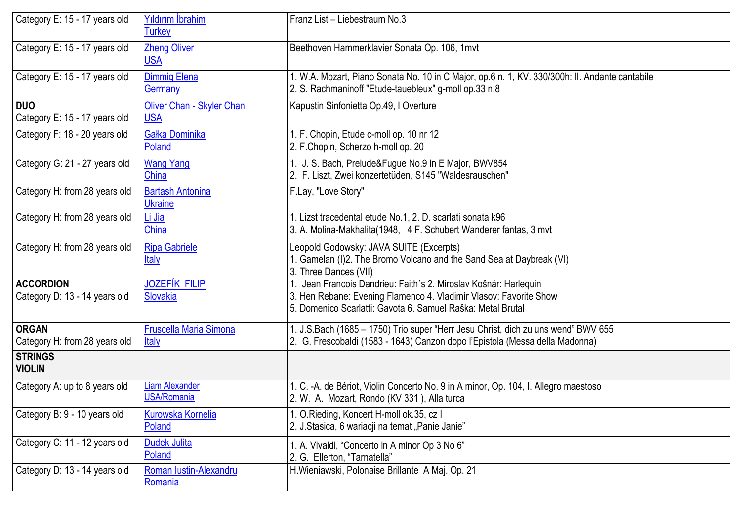| Category E: 15 - 17 years old                     | Yıldırım İbrahim<br><b>Turkey</b>           | Franz List - Liebestraum No.3                                                                                                                                                                        |
|---------------------------------------------------|---------------------------------------------|------------------------------------------------------------------------------------------------------------------------------------------------------------------------------------------------------|
| Category E: 15 - 17 years old                     | <b>Zheng Oliver</b><br><b>USA</b>           | Beethoven Hammerklavier Sonata Op. 106, 1mvt                                                                                                                                                         |
| Category E: 15 - 17 years old                     | <b>Dimmig Elena</b><br>Germany              | 1. W.A. Mozart, Piano Sonata No. 10 in C Major, op.6 n. 1, KV. 330/300h: II. Andante cantabile<br>2. S. Rachmaninoff "Etude-tauebleux" g-moll op.33 n.8                                              |
| <b>DUO</b><br>Category E: 15 - 17 years old       | Oliver Chan - Skyler Chan<br><b>USA</b>     | Kapustin Sinfonietta Op.49, I Overture                                                                                                                                                               |
| Category F: 18 - 20 years old                     | Gałka Dominika<br>Poland                    | 1. F. Chopin, Etude c-moll op. 10 nr 12<br>2. F.Chopin, Scherzo h-moll op. 20                                                                                                                        |
| Category G: 21 - 27 years old                     | <b>Wang Yang</b><br>China                   | 1. J. S. Bach, Prelude&Fugue No.9 in E Major, BWV854<br>2. F. Liszt, Zwei konzertetüden, S145 "Waldesrauschen"                                                                                       |
| Category H: from 28 years old                     | <b>Bartash Antonina</b><br><b>Ukraine</b>   | F.Lay, "Love Story"                                                                                                                                                                                  |
| Category H: from 28 years old                     | Li Jia<br>China                             | 1. Lizst tracedental etude No.1, 2. D. scarlati sonata k96<br>3. A. Molina-Makhalita (1948, 4 F. Schubert Wanderer fantas, 3 mvt                                                                     |
| Category H: from 28 years old                     | <b>Ripa Gabriele</b><br><b>Italy</b>        | Leopold Godowsky: JAVA SUITE (Excerpts)<br>1. Gamelan (I)2. The Bromo Volcano and the Sand Sea at Daybreak (VI)<br>3. Three Dances (VII)                                                             |
| <b>ACCORDION</b><br>Category D: 13 - 14 years old | <b>JOZEFÍK FILIP</b><br>Slovakia            | 1. Jean Francois Dandrieu: Faith's 2. Miroslav Košnár: Harlequin<br>3. Hen Rebane: Evening Flamenco 4. Vladimír Vlasov: Favorite Show<br>5. Domenico Scarlatti: Gavota 6. Samuel Raška: Metal Brutal |
| <b>ORGAN</b><br>Category H: from 28 years old     | Fruscella Maria Simona<br>Italy             | 1. J.S.Bach (1685 - 1750) Trio super "Herr Jesu Christ, dich zu uns wend" BWV 655<br>2. G. Frescobaldi (1583 - 1643) Canzon dopo l'Epistola (Messa della Madonna)                                    |
| <b>STRINGS</b><br><b>VIOLIN</b>                   |                                             |                                                                                                                                                                                                      |
| Category A: up to 8 years old                     | <b>Liam Alexander</b><br><b>USA/Romania</b> | 1. C. - A. de Bériot, Violin Concerto No. 9 in A minor, Op. 104, I. Allegro maestoso<br>2. W. A. Mozart, Rondo (KV 331), Alla turca                                                                  |
| Category B: 9 - 10 years old                      | <b>Kurowska Kornelia</b><br>Poland          | 1. O. Rieding, Koncert H-moll ok. 35, cz I<br>2. J.Stasica, 6 wariacji na temat "Panie Janie"                                                                                                        |
| Category C: 11 - 12 years old                     | <b>Dudek Julita</b><br>Poland               | 1. A. Vivaldi, "Concerto in A minor Op 3 No 6"<br>2. G. Ellerton, "Tarnatella"                                                                                                                       |
| Category D: 13 - 14 years old                     | Roman Iustin-Alexandru<br>Romania           | H. Wieniawski, Polonaise Brillante A Maj. Op. 21                                                                                                                                                     |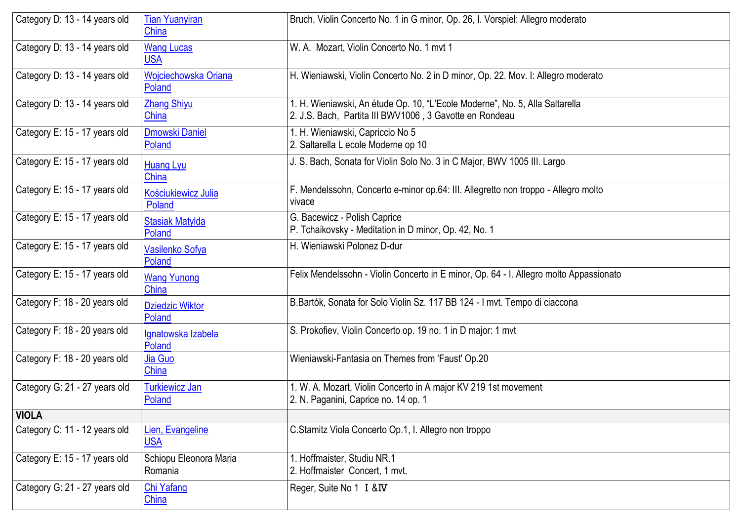| Category D: 13 - 14 years old | <b>Tian Yuanyiran</b><br>China    | Bruch, Violin Concerto No. 1 in G minor, Op. 26, I. Vorspiel: Allegro moderato                                                          |
|-------------------------------|-----------------------------------|-----------------------------------------------------------------------------------------------------------------------------------------|
| Category D: 13 - 14 years old | <b>Wang Lucas</b><br><b>USA</b>   | W. A. Mozart, Violin Concerto No. 1 mvt 1                                                                                               |
| Category D: 13 - 14 years old | Wojciechowska Oriana<br>Poland    | H. Wieniawski, Violin Concerto No. 2 in D minor, Op. 22. Mov. I: Allegro moderato                                                       |
| Category D: 13 - 14 years old | <b>Zhang Shiyu</b><br>China       | 1. H. Wieniawski, An étude Op. 10, "L'Ecole Moderne", No. 5, Alla Saltarella<br>2. J.S. Bach, Partita III BWV1006, 3 Gavotte en Rondeau |
| Category E: 15 - 17 years old | Dmowski Daniel<br>Poland          | 1. H. Wieniawski, Capriccio No 5<br>2. Saltarella L ecole Moderne op 10                                                                 |
| Category E: 15 - 17 years old | <b>Huang Lyu</b><br>China         | J. S. Bach, Sonata for Violin Solo No. 3 in C Major, BWV 1005 III. Largo                                                                |
| Category E: 15 - 17 years old | Kościukiewicz Julia<br>Poland     | F. Mendelssohn, Concerto e-minor op.64: III. Allegretto non troppo - Allegro molto<br>vivace                                            |
| Category E: 15 - 17 years old | <b>Stasiak Matylda</b><br>Poland  | G. Bacewicz - Polish Caprice<br>P. Tchaikovsky - Meditation in D minor, Op. 42, No. 1                                                   |
| Category E: 15 - 17 years old | Vasilenko Sofya<br>Poland         | H. Wieniawski Polonez D-dur                                                                                                             |
| Category E: 15 - 17 years old | <b>Wang Yunong</b><br>China       | Felix Mendelssohn - Violin Concerto in E minor, Op. 64 - I. Allegro molto Appassionato                                                  |
| Category F: 18 - 20 years old | <b>Dziedzic Wiktor</b><br>Poland  | B.Bartók, Sonata for Solo Violin Sz. 117 BB 124 - I mvt. Tempo di ciaccona                                                              |
| Category F: 18 - 20 years old | Ignatowska Izabela<br>Poland      | S. Prokofiev, Violin Concerto op. 19 no. 1 in D major: 1 mvt                                                                            |
| Category F: 18 - 20 years old | Jia Guo<br>China                  | Wieniawski-Fantasia on Themes from 'Faust' Op.20                                                                                        |
| Category G: 21 - 27 years old | <b>Turkiewicz Jan</b><br>Poland   | 1. W. A. Mozart, Violin Concerto in A major KV 219 1st movement<br>2. N. Paganini, Caprice no. 14 op. 1                                 |
| <b>VIOLA</b>                  |                                   |                                                                                                                                         |
| Category C: 11 - 12 years old | Lien, Evangeline<br><b>USA</b>    | C.Stamitz Viola Concerto Op.1, I. Allegro non troppo                                                                                    |
| Category E: 15 - 17 years old | Schiopu Eleonora Maria<br>Romania | 1. Hoffmaister, Studiu NR.1<br>2. Hoffmaister Concert, 1 mvt.                                                                           |
| Category G: 21 - 27 years old | <b>Chi Yafang</b><br>China        | Reger, Suite No 1 I & IV                                                                                                                |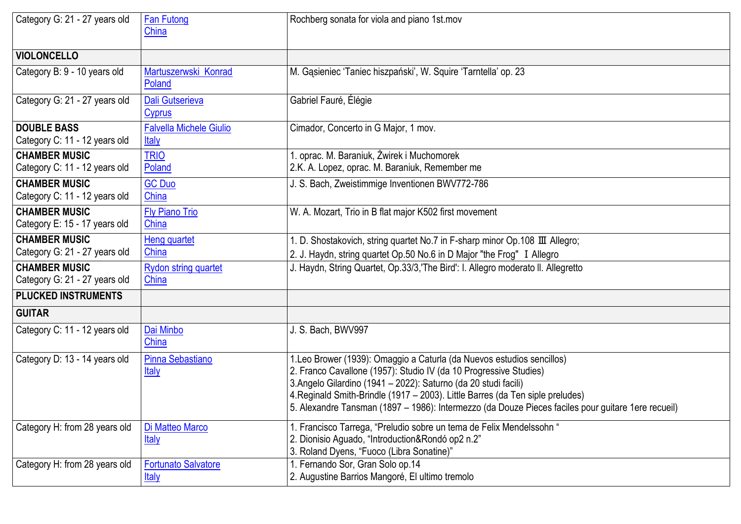| Category G: 21 - 27 years old                         | <b>Fan Futong</b><br>China                     | Rochberg sonata for viola and piano 1st mov                                                                                                                                                                                                                                                                                                                                                           |
|-------------------------------------------------------|------------------------------------------------|-------------------------------------------------------------------------------------------------------------------------------------------------------------------------------------------------------------------------------------------------------------------------------------------------------------------------------------------------------------------------------------------------------|
| <b>VIOLONCELLO</b>                                    |                                                |                                                                                                                                                                                                                                                                                                                                                                                                       |
| Category B: 9 - 10 years old                          | Martuszerwski Konrad<br>Poland                 | M. Gąsieniec 'Taniec hiszpański', W. Squire 'Tarntella' op. 23                                                                                                                                                                                                                                                                                                                                        |
| Category G: 21 - 27 years old                         | Dali Gutserieva<br>Cyprus                      | Gabriel Fauré, Élégie                                                                                                                                                                                                                                                                                                                                                                                 |
| <b>DOUBLE BASS</b><br>Category C: 11 - 12 years old   | <b>Falvella Michele Giulio</b><br><u>Italy</u> | Cimador, Concerto in G Major, 1 mov.                                                                                                                                                                                                                                                                                                                                                                  |
| <b>CHAMBER MUSIC</b><br>Category C: 11 - 12 years old | <b>TRIO</b><br>Poland                          | . oprac. M. Baraniuk, Żwirek i Muchomorek<br>2.K. A. Lopez, oprac. M. Baraniuk, Remember me                                                                                                                                                                                                                                                                                                           |
| <b>CHAMBER MUSIC</b><br>Category C: 11 - 12 years old | <b>GC Duo</b><br>China                         | J. S. Bach, Zweistimmige Inventionen BWV772-786                                                                                                                                                                                                                                                                                                                                                       |
| <b>CHAMBER MUSIC</b><br>Category E: 15 - 17 years old | <b>Fly Piano Trio</b><br>China                 | W. A. Mozart, Trio in B flat major K502 first movement                                                                                                                                                                                                                                                                                                                                                |
| <b>CHAMBER MUSIC</b><br>Category G: 21 - 27 years old | <b>Heng quartet</b><br>China                   | 1. D. Shostakovich, string quartet No.7 in F-sharp minor Op.108 III Allegro;<br>2. J. Haydn, string quartet Op.50 No.6 in D Major "the Frog" I Allegro                                                                                                                                                                                                                                                |
| <b>CHAMBER MUSIC</b><br>Category G: 21 - 27 years old | <b>Rydon string quartet</b><br>China           | J. Haydn, String Quartet, Op.33/3, 'The Bird': I. Allegro moderato II. Allegretto                                                                                                                                                                                                                                                                                                                     |
| <b>PLUCKED INSTRUMENTS</b>                            |                                                |                                                                                                                                                                                                                                                                                                                                                                                                       |
| <b>GUITAR</b>                                         |                                                |                                                                                                                                                                                                                                                                                                                                                                                                       |
| Category C: 11 - 12 years old                         | Dai Minbo<br>China                             | J. S. Bach, BWV997                                                                                                                                                                                                                                                                                                                                                                                    |
| Category D: 13 - 14 years old                         | Pinna Sebastiano<br><b>Italy</b>               | 1. Leo Brower (1939): Omaggio a Caturla (da Nuevos estudios sencillos)<br>2. Franco Cavallone (1957): Studio IV (da 10 Progressive Studies)<br>3.Angelo Gilardino (1941 - 2022): Saturno (da 20 studi facili)<br>4. Reginald Smith-Brindle (1917 – 2003). Little Barres (da Ten siple preludes)<br>5. Alexandre Tansman (1897 – 1986): Intermezzo (da Douze Pieces faciles pour guitare 1ere recueil) |
| Category H: from 28 years old                         | Di Matteo Marco<br><b>Italy</b>                | 1. Francisco Tarrega, "Preludio sobre un tema de Felix Mendelssohn "<br>2. Dionisio Aguado, "Introduction&Rondó op2 n.2"<br>3. Roland Dyens, "Fuoco (Libra Sonatine)"                                                                                                                                                                                                                                 |
| Category H: from 28 years old                         | <b>Fortunato Salvatore</b><br><u>Italy</u>     | 1. Fernando Sor, Gran Solo op.14<br>2. Augustine Barrios Mangoré, El ultimo tremolo                                                                                                                                                                                                                                                                                                                   |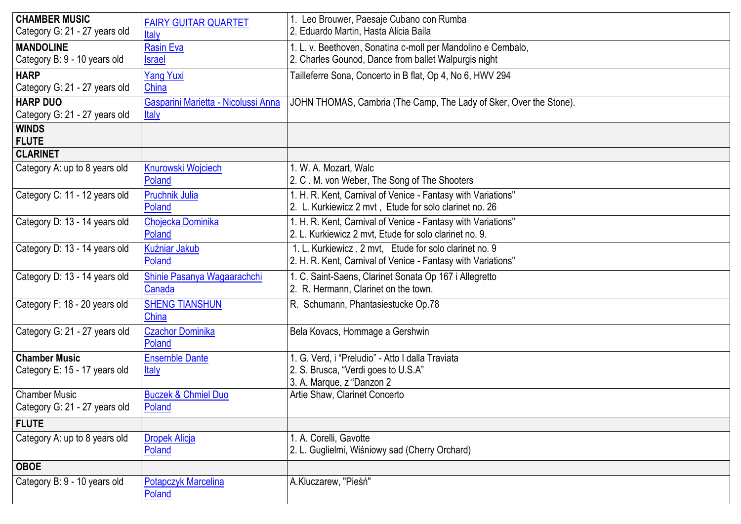| <b>CHAMBER MUSIC</b><br>Category G: 21 - 27 years old | <b>FAIRY GUITAR QUARTET</b><br>Italy                | 1. Leo Brouwer, Paesaje Cubano con Rumba<br>2. Eduardo Martin, Hasta Alicia Baila                                      |
|-------------------------------------------------------|-----------------------------------------------------|------------------------------------------------------------------------------------------------------------------------|
| <b>MANDOLINE</b><br>Category B: 9 - 10 years old      | <b>Rasin Eva</b><br><b>Israel</b>                   | 1. L. v. Beethoven, Sonatina c-moll per Mandolino e Cembalo,<br>2. Charles Gounod, Dance from ballet Walpurgis night   |
| <b>HARP</b><br>Category G: 21 - 27 years old          | <b>Yang Yuxi</b><br>China                           | Tailleferre Sona, Concerto in B flat, Op 4, No 6, HWV 294                                                              |
| <b>HARP DUO</b><br>Category G: 21 - 27 years old      | Gasparini Marietta - Nicolussi Anna<br><b>Italy</b> | JOHN THOMAS, Cambria (The Camp, The Lady of Sker, Over the Stone).                                                     |
| <b>WINDS</b><br><b>FLUTE</b>                          |                                                     |                                                                                                                        |
| <b>CLARINET</b>                                       |                                                     |                                                                                                                        |
| Category A: up to 8 years old                         | <b>Knurowski Wojciech</b><br>Poland                 | 1. W. A. Mozart, Walc<br>2. C. M. von Weber, The Song of The Shooters                                                  |
| Category C: 11 - 12 years old                         | <b>Pruchnik Julia</b><br>Poland                     | 1. H. R. Kent, Carnival of Venice - Fantasy with Variations"<br>2. L. Kurkiewicz 2 mvt, Etude for solo clarinet no. 26 |
| Category D: 13 - 14 years old                         | Chojecka Dominika<br>Poland                         | 1. H. R. Kent, Carnival of Venice - Fantasy with Variations"<br>2. L. Kurkiewicz 2 mvt. Etude for solo clarinet no. 9. |
| Category D: 13 - 14 years old                         | Kuźniar Jakub<br>Poland                             | 1. L. Kurkiewicz, 2 mvt, Etude for solo clarinet no. 9<br>2. H. R. Kent, Carnival of Venice - Fantasy with Variations" |
| Category D: 13 - 14 years old                         | Shinie Pasanya Wagaarachchi<br>Canada               | 1. C. Saint-Saens, Clarinet Sonata Op 167 i Allegretto<br>2. R. Hermann, Clarinet on the town.                         |
| Category F: 18 - 20 years old                         | <b>SHENG TIANSHUN</b><br>China                      | R. Schumann, Phantasiestucke Op.78                                                                                     |
| Category G: 21 - 27 years old                         | <b>Czachor Dominika</b><br>Poland                   | Bela Kovacs, Hommage a Gershwin                                                                                        |
| <b>Chamber Music</b><br>Category E: 15 - 17 years old | <b>Ensemble Dante</b><br>Italy                      | 1. G. Verd, i "Preludio" - Atto I dalla Traviata<br>2. S. Brusca, "Verdi goes to U.S.A"<br>3. A. Marque, z "Danzon 2   |
| <b>Chamber Music</b><br>Category G: 21 - 27 years old | <b>Buczek &amp; Chmiel Duo</b><br>Poland            | Artie Shaw, Clarinet Concerto                                                                                          |
| <b>FLUTE</b>                                          |                                                     |                                                                                                                        |
| Category A: up to 8 years old                         | <b>Dropek Alicja</b><br>Poland                      | 1. A. Corelli, Gavotte<br>2. L. Guglielmi, Wiśniowy sad (Cherry Orchard)                                               |
| <b>OBOE</b>                                           |                                                     |                                                                                                                        |
| Category B: 9 - 10 years old                          | <b>Potapczyk Marcelina</b><br>Poland                | A.Kluczarew, "Pieśń"                                                                                                   |